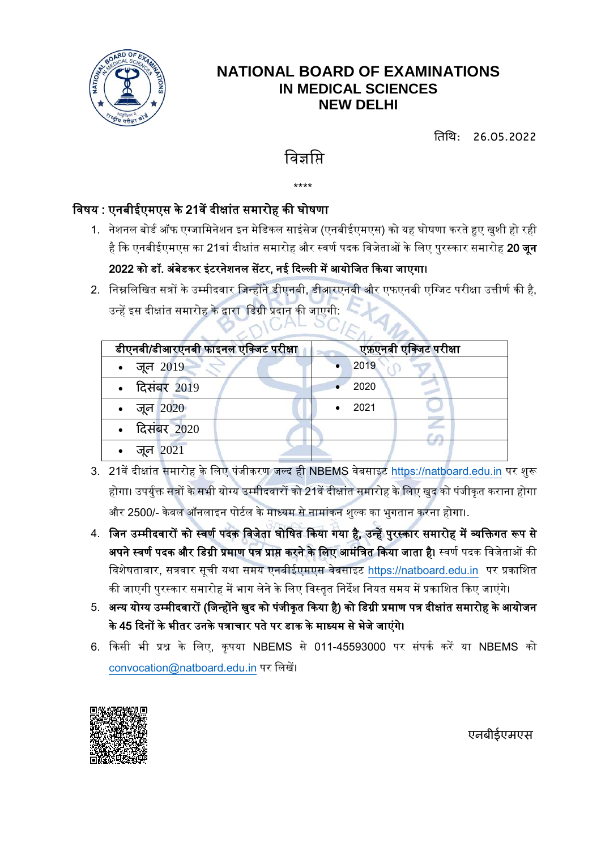

### **NATIONAL BOARD OF EXAMINATIONS IN MEDICAL SCIENCES NEW DELHI**

तिति: 26.05.2022

# विज्ञाप्ति

\*\*\*\*

#### विषय : एनबीईएमएस के 21वें दीक्षांत समारोह की घोषणा

- 1. नेशनल बोर्ड ऑफ एग्जामिनेशन इन मेडिकल साइंसेज (एनबीईएमएस) को यह घोषणा करते हुए खुशी हो रही है कि एनबीईएमएस का 21वां दीक्षांत समारोह और स्वर्ण पदक विजेताओं के लिए पुरस्कार समारोह **20 जून** 2022 को डॉ. अंबेडकर इंटरनेशनल सेंटर, नई दिल्ली में आयोजित किया जाएगा।
- 2. निम्नलिखित सत्रों के उम्मीदवार जिन्होंने डीएनबी, डीआरएनबी और एफएनबी एग्जिट परीक्षा उत्तीर्ण की है, उन्हें इस दीक्षांत समारोह के द्वारा डिग्री प्रदान की जाएगी:

| डीएनबी/डीआरएनबी फाइनल एक्जिट परीक्षा | एफ़एनबी एक्जिट परीक्षा |
|--------------------------------------|------------------------|
| • जून $2019$                         | 2019                   |
| • दिसंबर 2019                        | 2020                   |
| • जून $2020$                         | 2021                   |
| • दिसंबर 2020                        |                        |
| जून 2021                             |                        |

- 3. 21वें दीक्षांत समारोह के लिए पंजीकरण जल्द ही NBEMS वेबसाइट [https://natboard.edu.in](https://natboard.edu.in/) पर शुरू होगा। उपर्युक्त सत्रों के सभी योग्य उम्मीदवारों को 21वें दीक्षांत समारोह के लिए खुद को पंजीकृत कराना होगा और 2500/- केवल ऑनलाइन पोर्टल के माध्यम से नामांकन शुल्क का भुगतान करना होगा।.
- 4. जिन उम्मीदवारों को स्वर्ण पदक विजेता घोषित किया गया है, उन्हें पुरस्कार समारोह में व्यक्तिगत रूप से अपने स्वर्ण पदक और डिग्री प्रमाण पत्र प्राप्त करने के लिए आमंत्रित किया जाता है। स्वर्ण पदक विजेताओं की विशेषतावार, सत्रवार सूची यथा समय एनबीईएमएस वेबसाइट [https://natboard.edu.in](https://natboard.edu.in/) पर प्रकाशित की जाएगी पुरस्कार समारोह में भाग लेने के लिए विस्तृत निर्देश नियत समय में प्रकाशित किए जाएंगे।
- 5. अन्य योग्य उम्मीदवारों (जिन्होंने खुद को पंजीकृत किया है) को डिग्री प्रमाण पत्र दीक्षांत समारोह के आयोजन के 45 दिनों के भीतर उनके पत्राचार पते पर डाक के माध्यम से भेजे जाएंगे।
- 6. ककसी भी प्रश्न के वलए, कृपयष NBEMS से 011-45593000 पर सांपकड करें यष NBEMS को [convocation@natboard.edu.in](mailto:convocation@natboard.edu.in) पर वलखें।



**एनबीईएमएस**